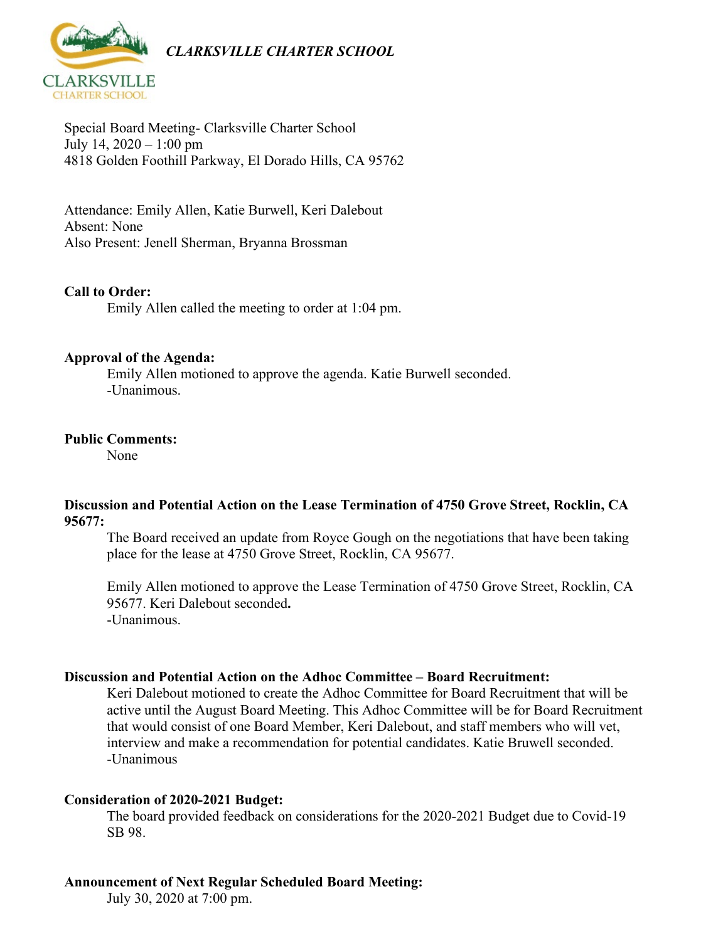

Special Board Meeting- Clarksville Charter School July 14,  $2020 - 1:00$  pm 4818 Golden Foothill Parkway, El Dorado Hills, CA 95762

Attendance: Emily Allen, Katie Burwell, Keri Dalebout Absent: None Also Present: Jenell Sherman, Bryanna Brossman

#### **Call to Order:**

Emily Allen called the meeting to order at 1:04 pm.

#### **Approval of the Agenda:**

Emily Allen motioned to approve the agenda. Katie Burwell seconded. -Unanimous.

#### **Public Comments:**

None

### **Discussion and Potential Action on the Lease Termination of 4750 Grove Street, Rocklin, CA 95677:**

The Board received an update from Royce Gough on the negotiations that have been taking place for the lease at 4750 Grove Street, Rocklin, CA 95677.

Emily Allen motioned to approve the Lease Termination of 4750 Grove Street, Rocklin, CA 95677. Keri Dalebout seconded**.**  -Unanimous.

#### **Discussion and Potential Action on the Adhoc Committee – Board Recruitment:**

Keri Dalebout motioned to create the Adhoc Committee for Board Recruitment that will be active until the August Board Meeting. This Adhoc Committee will be for Board Recruitment that would consist of one Board Member, Keri Dalebout, and staff members who will vet, interview and make a recommendation for potential candidates. Katie Bruwell seconded. -Unanimous

#### **Consideration of 2020-2021 Budget:**

The board provided feedback on considerations for the 2020-2021 Budget due to Covid-19 SB 98.

#### **Announcement of Next Regular Scheduled Board Meeting:**

July 30, 2020 at 7:00 pm.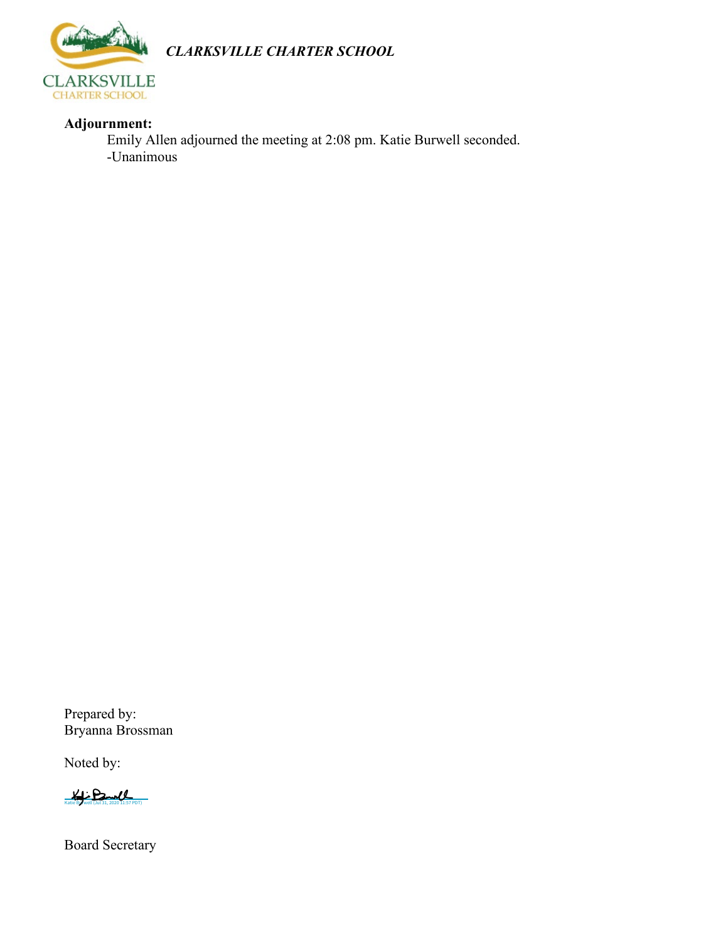

*CLARKSVILLE CHARTER SCHOOL*

## **Adjournment:**

Emily Allen adjourned the meeting at 2:08 pm. Katie Burwell seconded. -Unanimous

Prepared by: Bryanna Brossman

Noted by:

 $K$ 

Board Secretary